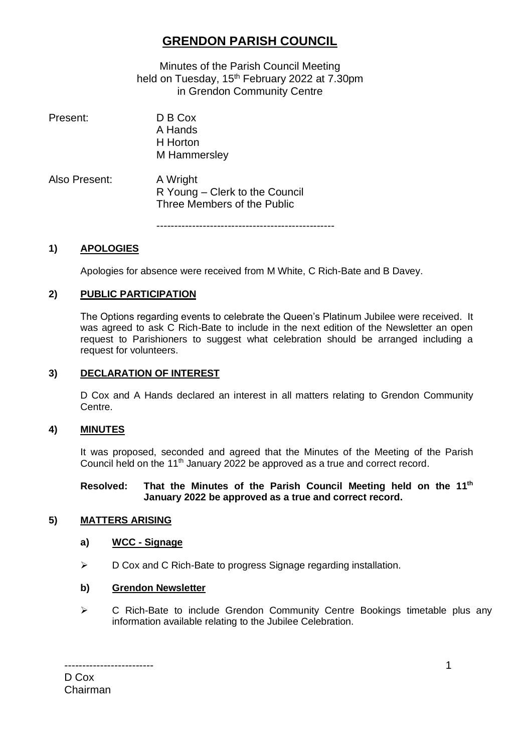# **GRENDON PARISH COUNCIL**

Minutes of the Parish Council Meeting held on Tuesday, 15<sup>th</sup> February 2022 at 7.30pm in Grendon Community Centre

| D B C <sub>O</sub><br>A Hands<br>H Horton<br>M Hammersley                 |
|---------------------------------------------------------------------------|
| A Wright<br>R Young – Clerk to the Council<br>Three Members of the Public |
|                                                                           |

#### **1) APOLOGIES**

Apologies for absence were received from M White, C Rich-Bate and B Davey.

#### **2) PUBLIC PARTICIPATION**

The Options regarding events to celebrate the Queen's Platinum Jubilee were received. It was agreed to ask C Rich-Bate to include in the next edition of the Newsletter an open request to Parishioners to suggest what celebration should be arranged including a request for volunteers.

#### **3) DECLARATION OF INTEREST**

D Cox and A Hands declared an interest in all matters relating to Grendon Community Centre.

#### **4) MINUTES**

It was proposed, seconded and agreed that the Minutes of the Meeting of the Parish Council held on the 11<sup>th</sup> January 2022 be approved as a true and correct record.

#### **Resolved: That the Minutes of the Parish Council Meeting held on the 11 th January 2022 be approved as a true and correct record.**

#### **5) MATTERS ARISING**

#### **a) WCC - Signage**

➢ D Cox and C Rich-Bate to progress Signage regarding installation.

#### **b) Grendon Newsletter**

➢ C Rich-Bate to include Grendon Community Centre Bookings timetable plus any information available relating to the Jubilee Celebration.

------------------------- D Cox Chairman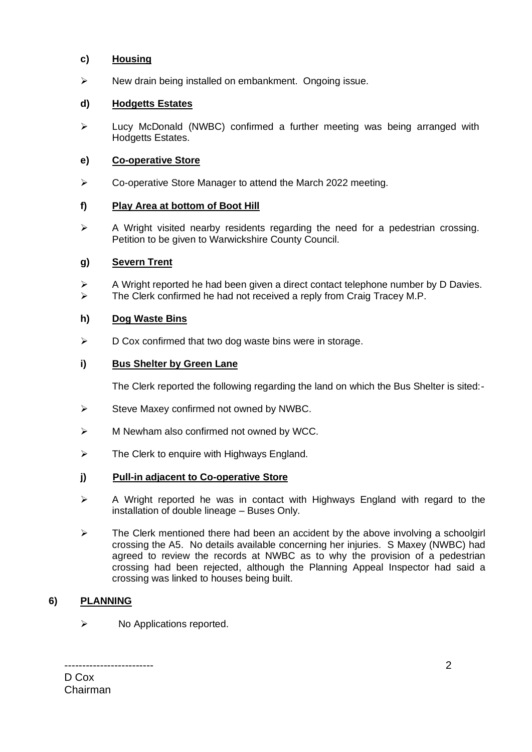# **c) Housing**

➢ New drain being installed on embankment. Ongoing issue.

# **d) Hodgetts Estates**

➢ Lucy McDonald (NWBC) confirmed a further meeting was being arranged with Hodgetts Estates.

## **e) Co-operative Store**

➢ Co-operative Store Manager to attend the March 2022 meeting.

# **f) Play Area at bottom of Boot Hill**

 $\triangleright$  A Wright visited nearby residents regarding the need for a pedestrian crossing. Petition to be given to Warwickshire County Council.

# **g) Severn Trent**

➢ A Wright reported he had been given a direct contact telephone number by D Davies.  $\triangleright$  The Clerk confirmed he had not received a reply from Craig Tracey M.P.

#### **h) Dog Waste Bins**

 $\triangleright$  D Cox confirmed that two dog waste bins were in storage.

#### **i) Bus Shelter by Green Lane**

The Clerk reported the following regarding the land on which the Bus Shelter is sited:-

- ➢ Steve Maxey confirmed not owned by NWBC.
- ➢ M Newham also confirmed not owned by WCC.
- $\triangleright$  The Clerk to enquire with Highways England.

#### **j) Pull-in adjacent to Co-operative Store**

- ➢ A Wright reported he was in contact with Highways England with regard to the installation of double lineage – Buses Only.
- $\triangleright$  The Clerk mentioned there had been an accident by the above involving a schoolgirl crossing the A5. No details available concerning her injuries. S Maxey (NWBC) had agreed to review the records at NWBC as to why the provision of a pedestrian crossing had been rejected, although the Planning Appeal Inspector had said a crossing was linked to houses being built.

# **6) PLANNING**

 $\triangleright$  No Applications reported.

------------------------- D Cox Chairman